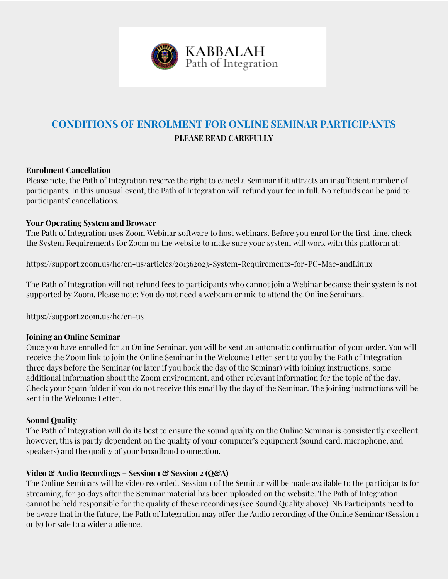

# **CONDITIONS OF ENROLMENT FOR ONLINE SEMINAR PARTICIPANTS PLEASE READ CAREFULLY**

#### **Enrolment Cancellation**

Please note, the Path of Integration reserve the right to cancel a Seminar if it attracts an insufficient number of participants. In this unusual event, the Path of Integration will refund your fee in full. No refunds can be paid to participants' cancellations.

## **Your Operating System and Browser**

The Path of Integration uses Zoom Webinar software to host webinars. Before you enrol for the first time, check the System Requirements for Zoom on the website to make sure your system will work with this platform at:

https://support.zoom.us/hc/en-us/articles/201362023-System-Requirements-for-PC-Mac-andLinux

The Path of Integration will not refund fees to participants who cannot join a Webinar because their system is not supported by Zoom. Please note: You do not need a webcam or mic to attend the Online Seminars.

https://support.zoom.us/hc/en-us

#### **Joining an Online Seminar**

Once you have enrolled for an Online Seminar, you will be sent an automatic confirmation of your order. You will receive the Zoom link to join the Online Seminar in the Welcome Letter sent to you by the Path of Integration three days before the Seminar (or later if you book the day of the Seminar) with joining instructions, some additional information about the Zoom environment, and other relevant information for the topic of the day. Check your Spam folder if you do not receive this email by the day of the Seminar. The joining instructions will be sent in the Welcome Letter.

#### **Sound Quality**

The Path of Integration will do its best to ensure the sound quality on the Online Seminar is consistently excellent, however, this is partly dependent on the quality of your computer's equipment (sound card, microphone, and speakers) and the quality of your broadband connection.

# **Video & Audio Recordings – Session 1 & Session 2 (Q&A)**

The Online Seminars will be video recorded. Session 1 of the Seminar will be made available to the participants for streaming, for 30 days after the Seminar material has been uploaded on the website. The Path of Integration cannot be held responsible for the quality of these recordings (see Sound Quality above). NB Participants need to be aware that in the future, the Path of Integration may offer the Audio recording of the Online Seminar (Session 1 only) for sale to a wider audience.